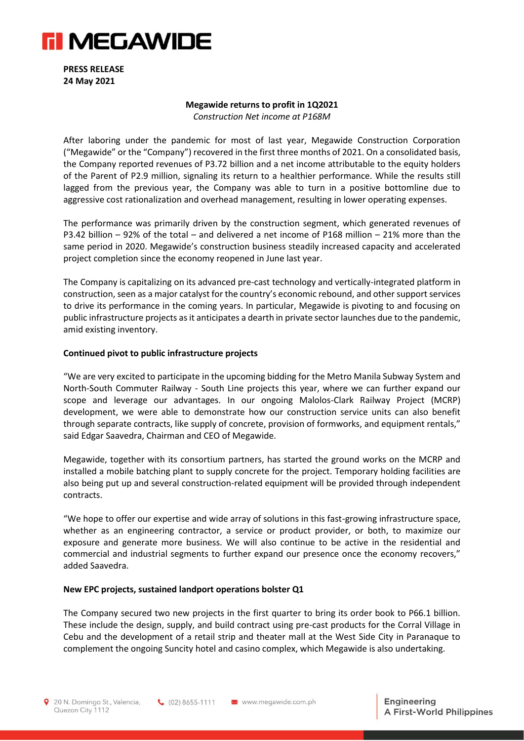

**PRESS RELEASE 24 May 2021**

#### **Megawide returns to profit in 1Q2021**

*Construction Net income at P168M*

After laboring under the pandemic for most of last year, Megawide Construction Corporation ("Megawide" or the "Company") recovered in the first three months of 2021. On a consolidated basis, the Company reported revenues of P3.72 billion and a net income attributable to the equity holders of the Parent of P2.9 million, signaling its return to a healthier performance. While the results still lagged from the previous year, the Company was able to turn in a positive bottomline due to aggressive cost rationalization and overhead management, resulting in lower operating expenses.

The performance was primarily driven by the construction segment, which generated revenues of P3.42 billion – 92% of the total – and delivered a net income of P168 million – 21% more than the same period in 2020. Megawide's construction business steadily increased capacity and accelerated project completion since the economy reopened in June last year.

The Company is capitalizing on its advanced pre-cast technology and vertically-integrated platform in construction, seen as a major catalyst for the country's economic rebound, and other support services to drive its performance in the coming years. In particular, Megawide is pivoting to and focusing on public infrastructure projects as it anticipates a dearth in private sector launches due to the pandemic, amid existing inventory.

### **Continued pivot to public infrastructure projects**

"We are very excited to participate in the upcoming bidding for the Metro Manila Subway System and North-South Commuter Railway - South Line projects this year, where we can further expand our scope and leverage our advantages. In our ongoing Malolos-Clark Railway Project (MCRP) development, we were able to demonstrate how our construction service units can also benefit through separate contracts, like supply of concrete, provision of formworks, and equipment rentals," said Edgar Saavedra, Chairman and CEO of Megawide.

Megawide, together with its consortium partners, has started the ground works on the MCRP and installed a mobile batching plant to supply concrete for the project. Temporary holding facilities are also being put up and several construction-related equipment will be provided through independent contracts.

"We hope to offer our expertise and wide array of solutions in this fast-growing infrastructure space, whether as an engineering contractor, a service or product provider, or both, to maximize our exposure and generate more business. We will also continue to be active in the residential and commercial and industrial segments to further expand our presence once the economy recovers," added Saavedra.

### **New EPC projects, sustained landport operations bolster Q1**

The Company secured two new projects in the first quarter to bring its order book to P66.1 billion. These include the design, supply, and build contract using pre-cast products for the Corral Village in Cebu and the development of a retail strip and theater mall at the West Side City in Paranaque to complement the ongoing Suncity hotel and casino complex, which Megawide is also undertaking.